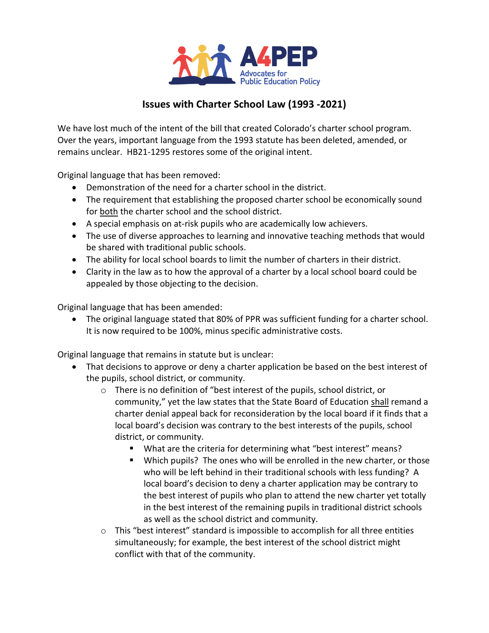

# **Issues with Charter School Law (1993 -2021)**

We have lost much of the intent of the bill that created Colorado's charter school program. Over the years, important language from the 1993 statute has been deleted, amended, or remains unclear. HB21-1295 restores some of the original intent.

Original language that has been removed:

- Demonstration of the need for a charter school in the district.
- The requirement that establishing the proposed charter school be economically sound for both the charter school and the school district.
- A special emphasis on at-risk pupils who are academically low achievers.
- The use of diverse approaches to learning and innovative teaching methods that would be shared with traditional public schools.
- The ability for local school boards to limit the number of charters in their district.
- Clarity in the law as to how the approval of a charter by a local school board could be appealed by those objecting to the decision.

Original language that has been amended:

 The original language stated that 80% of PPR was sufficient funding for a charter school. It is now required to be 100%, minus specific administrative costs.

Original language that remains in statute but is unclear:

- That decisions to approve or deny a charter application be based on the best interest of the pupils, school district, or community.
	- $\circ$  There is no definition of "best interest of the pupils, school district, or community," yet the law states that the State Board of Education shall remand a charter denial appeal back for reconsideration by the local board if it finds that a local board's decision was contrary to the best interests of the pupils, school district, or community.
		- What are the criteria for determining what "best interest" means?
		- Which pupils? The ones who will be enrolled in the new charter, or those who will be left behind in their traditional schools with less funding? A local board's decision to deny a charter application may be contrary to the best interest of pupils who plan to attend the new charter yet totally in the best interest of the remaining pupils in traditional district schools as well as the school district and community.
	- $\circ$  This "best interest" standard is impossible to accomplish for all three entities simultaneously; for example, the best interest of the school district might conflict with that of the community.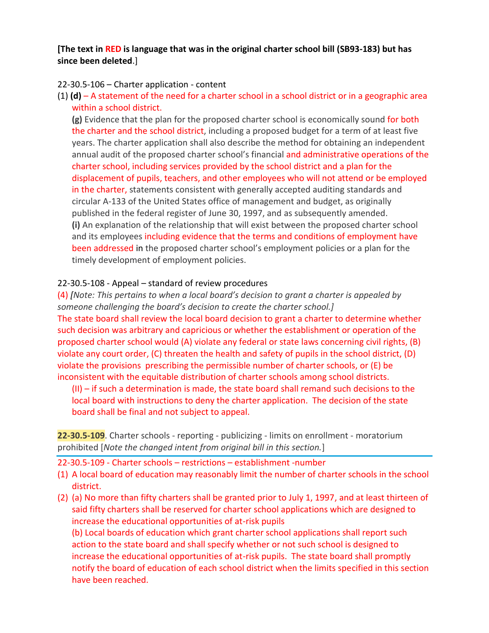### **[The text in RED is language that was in the original charter school bill (SB93-183) but has since been deleted**.]

#### 22-30.5-106 – Charter application - content

(1) **(d)** – A statement of the need for a charter school in a school district or in a geographic area within a school district.

**(g)** Evidence that the plan for the proposed charter school is economically sound for both the charter and the school district, including a proposed budget for a term of at least five years. The charter application shall also describe the method for obtaining an independent annual audit of the proposed charter school's financial and administrative operations of the charter school, including services provided by the school district and a plan for the displacement of pupils, teachers, and other employees who will not attend or be employed in the charter, statements consistent with generally accepted auditing standards and circular A-133 of the United States office of management and budget, as originally published in the federal register of June 30, 1997, and as subsequently amended. **(i)** An explanation of the relationship that will exist between the proposed charter school and its employees including evidence that the terms and conditions of employment have been addressed in the proposed charter school's employment policies or a plan for the timely development of employment policies.

#### 22-30.5-108 - Appeal – standard of review procedures

(4) *[Note: This pertains to when a local board's decision to grant a charter is appealed by someone challenging the board's decision to create the charter school.]* The state board shall review the local board decision to grant a charter to determine whether such decision was arbitrary and capricious or whether the establishment or operation of the proposed charter school would (A) violate any federal or state laws concerning civil rights, (B) violate any court order, (C) threaten the health and safety of pupils in the school district, (D) violate the provisions prescribing the permissible number of charter schools, or (E) be

inconsistent with the equitable distribution of charter schools among school districts. (II) – if such a determination is made, the state board shall remand such decisions to the local board with instructions to deny the charter application. The decision of the state board shall be final and not subject to appeal.

**22-30.5-109**. Charter schools - reporting - publicizing - limits on enrollment - moratorium prohibited [*Note the changed intent from original bill in this section.*]

- 22-30.5-109 Charter schools restrictions establishment -number
- (1) A local board of education may reasonably limit the number of charter schools in the school district.
- (2) (a) No more than fifty charters shall be granted prior to July 1, 1997, and at least thirteen of said fifty charters shall be reserved for charter school applications which are designed to increase the educational opportunities of at-risk pupils

(b) Local boards of education which grant charter school applications shall report such action to the state board and shall specify whether or not such school is designed to increase the educational opportunities of at-risk pupils. The state board shall promptly notify the board of education of each school district when the limits specified in this section have been reached.